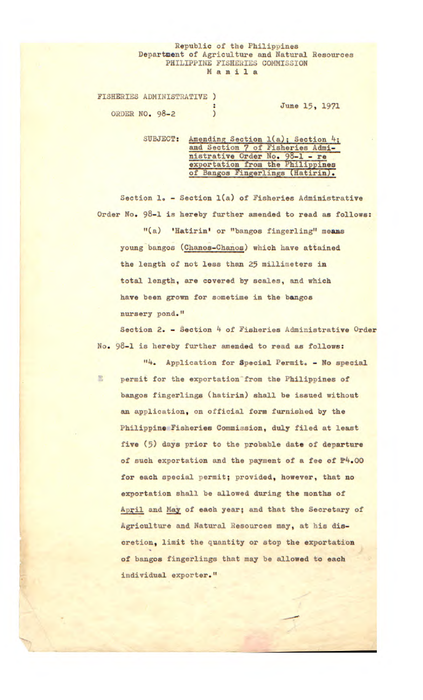## Republic of the Philippines Department of Agriculture and Natural Resources PHILIPPINE FISHERIES COMMISSION **Manila**

FISHERIES ADMINISTRATIVE ) June 15, 1971 ORDER NO. 98-2 )

> SUBJECT: Amending Section 1(a); Section 4; and Section 7 of Fisheries Administrative Order No. 98-1 - re exportation from the Philippines of Bangos Fingerlings (Hatirin).

Section 1. - Section 1(a) of Fisheries Administrative Order No. 98-1 is hereby further amended to read as follows:

"(a) 'Hatirin' or "bangos fingerling" means young bangos (Chanos-Chanos) which have attained the length of not less than 25 millimeters **in**  total length, are covered by scales, and which have been grown for sometime **in** the bangos nursery pond."

Section 2. - Section 4 of Fisheries Administrative Order No. 98-1 is hereby further amended to read as follows:

配

'. Application for Special Permit. - No special permit for the exportation from the Philippines of bangos fingerlings (hatirin) shall be issued without an application, on official form furnished by the Philippine Fisheries Commission, duly filed at least five *(5)* days prior to the probable date of departure of such exportation and the payment of a fee of  $P4.00$ for each special permit; provided, however, that no exportation shall be allowed during the months of April and May of each year; and that the Secretary of Agriculture and Natural Resources may, at his discretion, limit the quantity or stop the exportation of bangos fingerlings that may be allowed to each individual exporter."